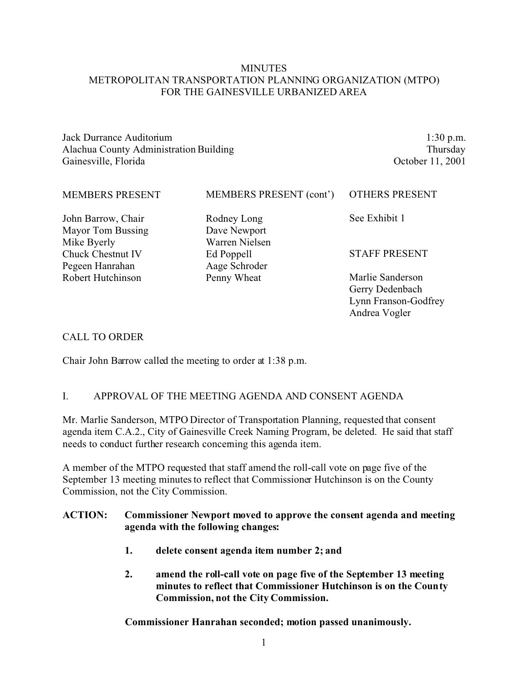### **MINUTES** METROPOLITAN TRANSPORTATION PLANNING ORGANIZATION (MTPO) FOR THE GAINESVILLE URBANIZED AREA

Jack Durrance Auditorium Alachua County Administration Building Gainesville, Florida

1:30 p.m. Thursday October 11, 2001

Andrea Vogler

| <b>MEMBERS PRESENT</b>   | MEMBERS PRESENT (cont') | <b>OTHERS PRESENT</b> |
|--------------------------|-------------------------|-----------------------|
| John Barrow, Chair       | Rodney Long             | See Exhibit 1         |
| <b>Mayor Tom Bussing</b> | Dave Newport            |                       |
| Mike Byerly              | Warren Nielsen          |                       |
| <b>Chuck Chestnut IV</b> | Ed Poppell              | <b>STAFF PRESENT</b>  |
| Pegeen Hanrahan          | Aage Schroder           |                       |
| Robert Hutchinson        | Penny Wheat             | Marlie Sanderson      |
|                          |                         | Gerry Dedenbach       |
|                          |                         | Lynn Franson-Godfrey  |

#### CALL TO ORDER

Chair John Barrow called the meeting to order at 1:38 p.m.

### I. APPROVAL OF THE MEETING AGENDA AND CONSENT AGENDA

Mr. Marlie Sanderson, MTPO Director of Transportation Planning, requested that consent agenda item C.A.2., City of Gainesville Creek Naming Program, be deleted. He said that staff needs to conduct further research concerning this agenda item.

A member of the MTPO requested that staff amend the roll-call vote on page five of the September 13 meeting minutes to reflect that Commissioner Hutchinson is on the County Commission, not the City Commission.

#### **ACTION: Commissioner Newport moved to approve the consent agenda and meeting agenda with the following changes:**

- **1. delete consent agenda item number 2; and**
- **2. amend the roll-call vote on page five of the September 13 meeting minutes to reflect that Commissioner Hutchinson is on the County Commission, not the City Commission.**

**Commissioner Hanrahan seconded; motion passed unanimously.**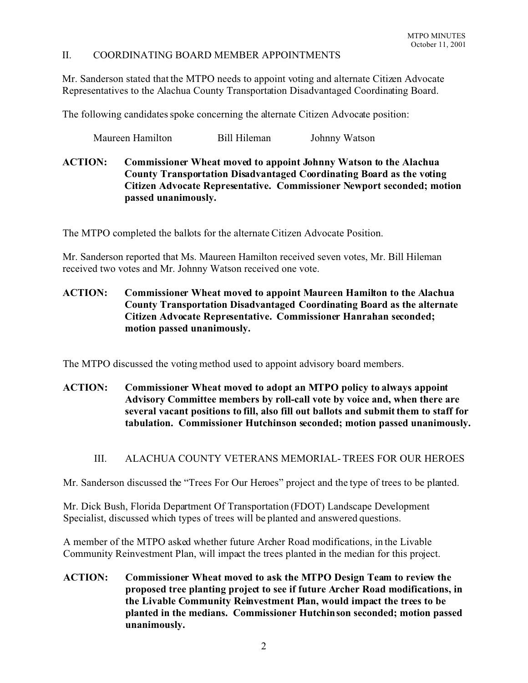#### II. COORDINATING BOARD MEMBER APPOINTMENTS

Mr. Sanderson stated that the MTPO needs to appoint voting and alternate Citizen Advocate Representatives to the Alachua County Transportation Disadvantaged Coordinating Board.

The following candidates spoke concerning the alternate Citizen Advocate position:

Maureen Hamilton Bill Hileman Johnny Watson

**ACTION: Commissioner Wheat moved to appoint Johnny Watson to the Alachua County Transportation Disadvantaged Coordinating Board as the voting Citizen Advocate Representative. Commissioner Newport seconded; motion passed unanimously.**

The MTPO completed the ballots for the alternate Citizen Advocate Position.

Mr. Sanderson reported that Ms. Maureen Hamilton received seven votes, Mr. Bill Hileman received two votes and Mr. Johnny Watson received one vote.

**ACTION: Commissioner Wheat moved to appoint Maureen Hamilton to the Alachua County Transportation Disadvantaged Coordinating Board as the alternate Citizen Advocate Representative. Commissioner Hanrahan seconded; motion passed unanimously.**

The MTPO discussed the voting method used to appoint advisory board members.

- **ACTION: Commissioner Wheat moved to adopt an MTPO policy to always appoint Advisory Committee members by roll-call vote by voice and, when there are several vacant positions to fill, also fill out ballots and submit them to staff for tabulation. Commissioner Hutchinson seconded; motion passed unanimously.**
	- III. ALACHUA COUNTY VETERANS MEMORIAL- TREES FOR OUR HEROES

Mr. Sanderson discussed the "Trees For Our Heroes" project and the type of trees to be planted.

Mr. Dick Bush, Florida Department Of Transportation (FDOT) Landscape Development Specialist, discussed which types of trees will be planted and answered questions.

A member of the MTPO asked whether future Archer Road modifications, in the Livable Community Reinvestment Plan, will impact the trees planted in the median for this project.

**ACTION: Commissioner Wheat moved to ask the MTPO Design Team to review the proposed tree planting project to see if future Archer Road modifications, in the Livable Community Reinvestment Plan, would impact the trees to be planted in the medians. Commissioner Hutchinson seconded; motion passed unanimously.**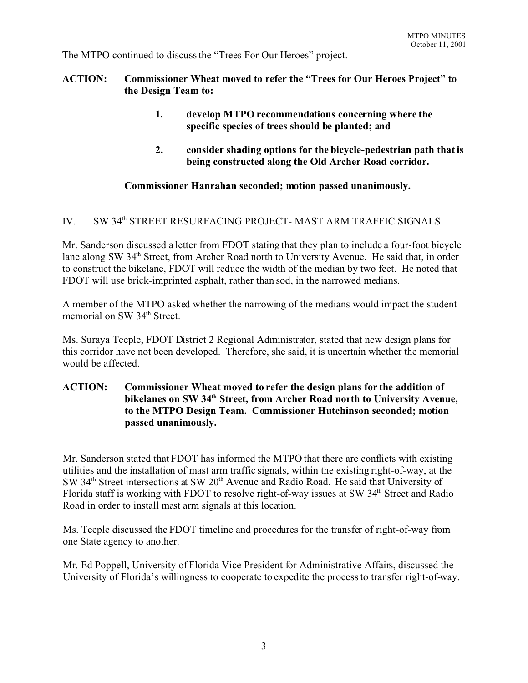The MTPO continued to discuss the "Trees For Our Heroes" project.

## **ACTION: Commissioner Wheat moved to refer the "Trees for Our Heroes Project" to the Design Team to:**

- **1. develop MTPO recommendations concerning where the specific species of trees should be planted; and**
- **2. consider shading options for the bicycle-pedestrian path that is being constructed along the Old Archer Road corridor.**

## **Commissioner Hanrahan seconded; motion passed unanimously.**

# IV. SW 34<sup>th</sup> STREET RESURFACING PROJECT- MAST ARM TRAFFIC SIGNALS

Mr. Sanderson discussed a letter from FDOT stating that they plan to include a four-foot bicycle lane along SW 34<sup>th</sup> Street, from Archer Road north to University Avenue. He said that, in order to construct the bikelane, FDOT will reduce the width of the median by two feet. He noted that FDOT will use brick-imprinted asphalt, rather than sod, in the narrowed medians.

A member of the MTPO asked whether the narrowing of the medians would impact the student memorial on SW 34<sup>th</sup> Street.

Ms. Suraya Teeple, FDOT District 2 Regional Administrator, stated that new design plans for this corridor have not been developed. Therefore, she said, it is uncertain whether the memorial would be affected.

## **ACTION: Commissioner Wheat moved to refer the design plans for the addition of bikelanes on SW 34th Street, from Archer Road north to University Avenue, to the MTPO Design Team. Commissioner Hutchinson seconded; motion passed unanimously.**

Mr. Sanderson stated that FDOT has informed the MTPO that there are conflicts with existing utilities and the installation of mast arm traffic signals, within the existing right-of-way, at the SW 34<sup>th</sup> Street intersections at SW 20<sup>th</sup> Avenue and Radio Road. He said that University of Florida staff is working with FDOT to resolve right-of-way issues at SW 34<sup>th</sup> Street and Radio Road in order to install mast arm signals at this location.

Ms. Teeple discussed the FDOT timeline and procedures for the transfer of right-of-way from one State agency to another.

Mr. Ed Poppell, University of Florida Vice President for Administrative Affairs, discussed the University of Florida's willingness to cooperate to expedite the process to transfer right-of-way.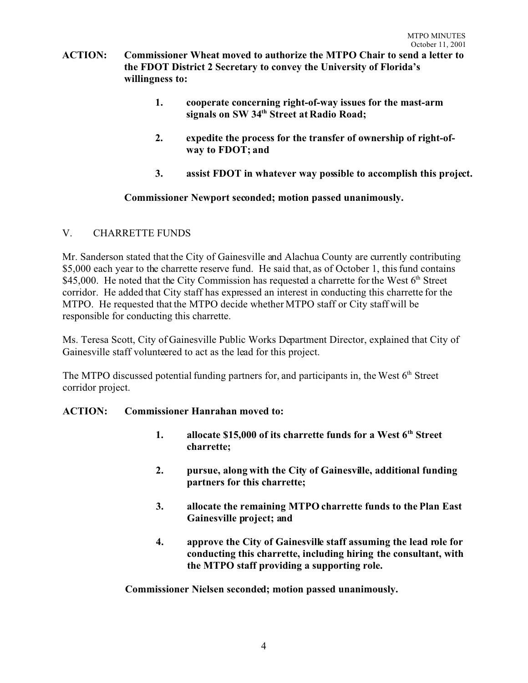- **ACTION: Commissioner Wheat moved to authorize the MTPO Chair to send a letter to the FDOT District 2 Secretary to convey the University of Florida's willingness to:**
	- **1. cooperate concerning right-of-way issues for the mast-arm signals on SW 34th Street at Radio Road;**
	- **2. expedite the process for the transfer of ownership of right-ofway to FDOT; and**
	- **3. assist FDOT in whatever way possible to accomplish this project.**

## **Commissioner Newport seconded; motion passed unanimously.**

# V. CHARRETTE FUNDS

Mr. Sanderson stated that the City of Gainesville and Alachua County are currently contributing \$5,000 each year to the charrette reserve fund. He said that, as of October 1, this fund contains \$45,000. He noted that the City Commission has requested a charrette for the West  $6<sup>th</sup>$  Street corridor. He added that City staff has expressed an interest in conducting this charrette for the MTPO. He requested that the MTPO decide whether MTPO staff or City staff will be responsible for conducting this charrette.

Ms. Teresa Scott, City of Gainesville Public Works Department Director, explained that City of Gainesville staff volunteered to act as the lead for this project.

The MTPO discussed potential funding partners for, and participants in, the West  $6<sup>th</sup>$  Street corridor project.

## **ACTION: Commissioner Hanrahan moved to:**

- **1. allocate \$15,000 of its charrette funds for a West 6th Street charrette;**
- **2. pursue, along with the City of Gainesville, additional funding partners for this charrette;**
- **3. allocate the remaining MTPO charrette funds to the Plan East Gainesville project; and**
- **4. approve the City of Gainesville staff assuming the lead role for conducting this charrette, including hiring the consultant, with the MTPO staff providing a supporting role.**

**Commissioner Nielsen seconded; motion passed unanimously.**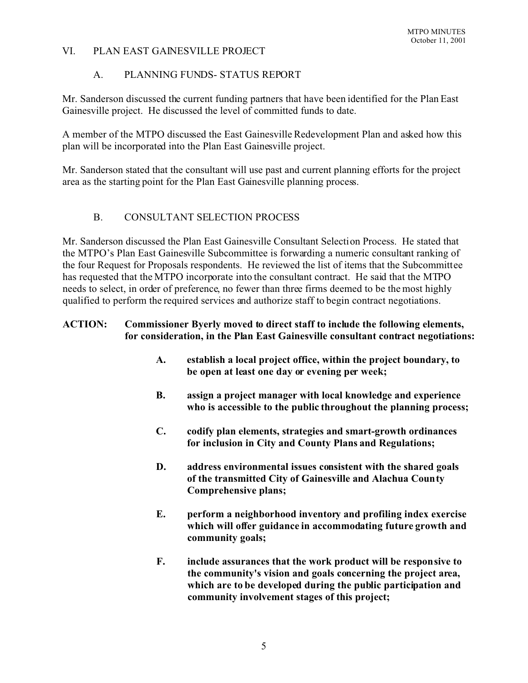## VI. PLAN EAST GAINESVILLE PROJECT

## A. PLANNING FUNDS- STATUS REPORT

Mr. Sanderson discussed the current funding partners that have been identified for the Plan East Gainesville project. He discussed the level of committed funds to date.

A member of the MTPO discussed the East Gainesville Redevelopment Plan and asked how this plan will be incorporated into the Plan East Gainesville project.

Mr. Sanderson stated that the consultant will use past and current planning efforts for the project area as the starting point for the Plan East Gainesville planning process.

## B. CONSULTANT SELECTION PROCESS

Mr. Sanderson discussed the Plan East Gainesville Consultant Selection Process. He stated that the MTPO's Plan East Gainesville Subcommittee is forwarding a numeric consultant ranking of the four Request for Proposals respondents. He reviewed the list of items that the Subcommittee has requested that the MTPO incorporate into the consultant contract. He said that the MTPO needs to select, in order of preference, no fewer than three firms deemed to be the most highly qualified to perform the required services and authorize staff to begin contract negotiations.

## **ACTION: Commissioner Byerly moved to direct staff to include the following elements, for consideration, in the Plan East Gainesville consultant contract negotiations:**

- **A. establish a local project office, within the project boundary, to be open at least one day or evening per week;**
- **B. assign a project manager with local knowledge and experience who is accessible to the public throughout the planning process;**
- **C. codify plan elements, strategies and smart-growth ordinances for inclusion in City and County Plans and Regulations;**
- **D. address environmental issues consistent with the shared goals of the transmitted City of Gainesville and Alachua County Comprehensive plans;**
- **E. perform a neighborhood inventory and profiling index exercise which will offer guidance in accommodating future growth and community goals;**
- **F. include assurances that the work product will be responsive to the community's vision and goals concerning the project area, which are to be developed during the public participation and community involvement stages of this project;**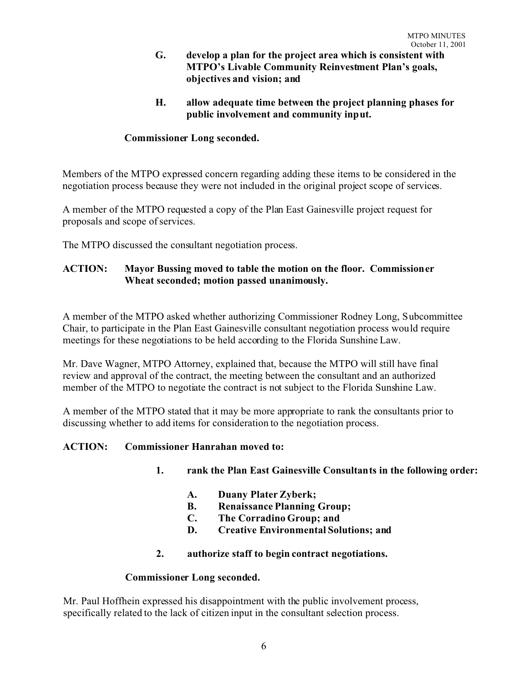- **G. develop a plan for the project area which is consistent with MTPO's Livable Community Reinvestment Plan's goals, objectives and vision; and**
- **H. allow adequate time between the project planning phases for public involvement and community input.**

## **Commissioner Long seconded.**

Members of the MTPO expressed concern regarding adding these items to be considered in the negotiation process because they were not included in the original project scope of services.

A member of the MTPO requested a copy of the Plan East Gainesville project request for proposals and scope of services.

The MTPO discussed the consultant negotiation process.

## **ACTION: Mayor Bussing moved to table the motion on the floor. Commissioner Wheat seconded; motion passed unanimously.**

A member of the MTPO asked whether authorizing Commissioner Rodney Long, Subcommittee Chair, to participate in the Plan East Gainesville consultant negotiation process would require meetings for these negotiations to be held according to the Florida Sunshine Law.

Mr. Dave Wagner, MTPO Attorney, explained that, because the MTPO will still have final review and approval of the contract, the meeting between the consultant and an authorized member of the MTPO to negotiate the contract is not subject to the Florida Sunshine Law.

A member of the MTPO stated that it may be more appropriate to rank the consultants prior to discussing whether to add items for consideration to the negotiation process.

### **ACTION: Commissioner Hanrahan moved to:**

- **1. rank the Plan East Gainesville Consultants in the following order:**
	- **A. Duany Plater Zyberk;**
	- **B. Renaissance Planning Group;**
	- **C. The Corradino Group; and**
	- **D. Creative Environmental Solutions; and**
- **2. authorize staff to begin contract negotiations.**

### **Commissioner Long seconded.**

Mr. Paul Hoffhein expressed his disappointment with the public involvement process, specifically related to the lack of citizen input in the consultant selection process.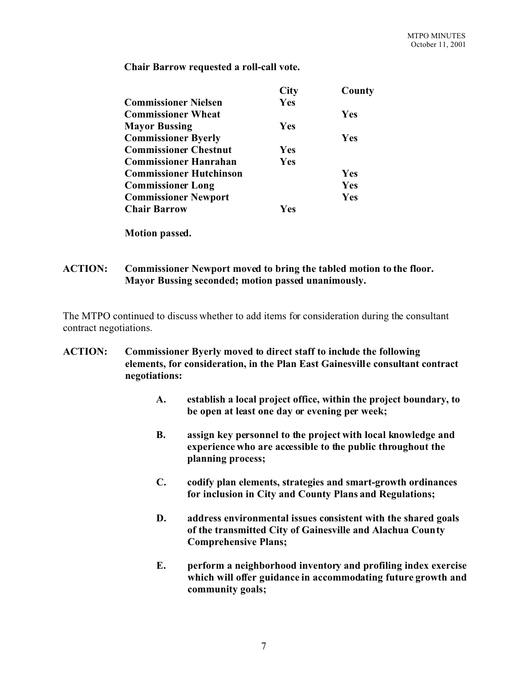**Chair Barrow requested a roll-call vote.**

**Motion passed.**

### **ACTION: Commissioner Newport moved to bring the tabled motion to the floor. Mayor Bussing seconded; motion passed unanimously.**

The MTPO continued to discuss whether to add items for consideration during the consultant contract negotiations.

## **ACTION: Commissioner Byerly moved to direct staff to include the following elements, for consideration, in the Plan East Gainesville consultant contract negotiations:**

- **A. establish a local project office, within the project boundary, to be open at least one day or evening per week;**
- **B. assign key personnel to the project with local knowledge and experience who are accessible to the public throughout the planning process;**
- **C. codify plan elements, strategies and smart-growth ordinances for inclusion in City and County Plans and Regulations;**
- **D. address environmental issues consistent with the shared goals of the transmitted City of Gainesville and Alachua County Comprehensive Plans;**
- **E. perform a neighborhood inventory and profiling index exercise which will offer guidance in accommodating future growth and community goals;**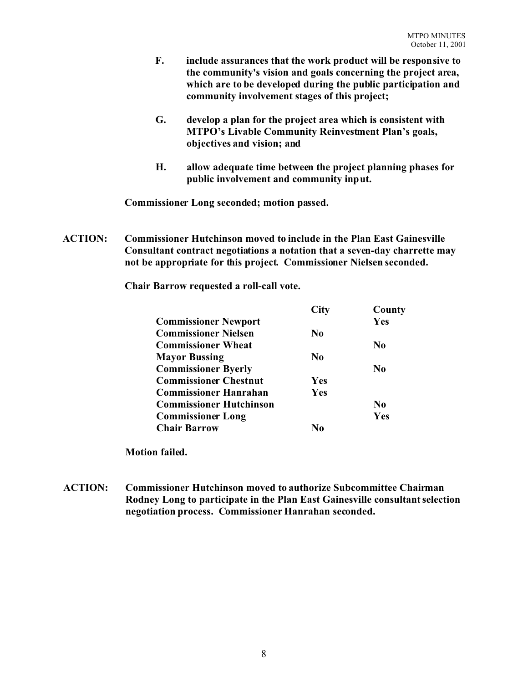- **F. include assurances that the work product will be responsive to the community's vision and goals concerning the project area, which are to be developed during the public participation and community involvement stages of this project;**
- **G. develop a plan for the project area which is consistent with MTPO's Livable Community Reinvestment Plan's goals, objectives and vision; and**
- **H. allow adequate time between the project planning phases for public involvement and community input.**

**Commissioner Long seconded; motion passed.**

**ACTION: Commissioner Hutchinson moved to include in the Plan East Gainesville Consultant contract negotiations a notation that a seven-day charrette may not be appropriate for this project. Commissioner Nielsen seconded.**

**Chair Barrow requested a roll-call vote.**

|                                | <b>City</b>    | County         |
|--------------------------------|----------------|----------------|
| <b>Commissioner Newport</b>    |                | Yes            |
| <b>Commissioner Nielsen</b>    | N <sub>0</sub> |                |
| <b>Commissioner Wheat</b>      |                | $\bf No$       |
| <b>Mayor Bussing</b>           | N <sub>0</sub> |                |
| <b>Commissioner Byerly</b>     |                | N <sub>0</sub> |
| <b>Commissioner Chestnut</b>   | <b>Yes</b>     |                |
| <b>Commissioner Hanrahan</b>   | Yes            |                |
| <b>Commissioner Hutchinson</b> |                | N <sub>0</sub> |
| <b>Commissioner Long</b>       |                | Yes            |
| <b>Chair Barrow</b>            | N٥             |                |

**Motion failed.**

**ACTION: Commissioner Hutchinson moved to authorize Subcommittee Chairman Rodney Long to participate in the Plan East Gainesville consultant selection negotiation process. Commissioner Hanrahan seconded.**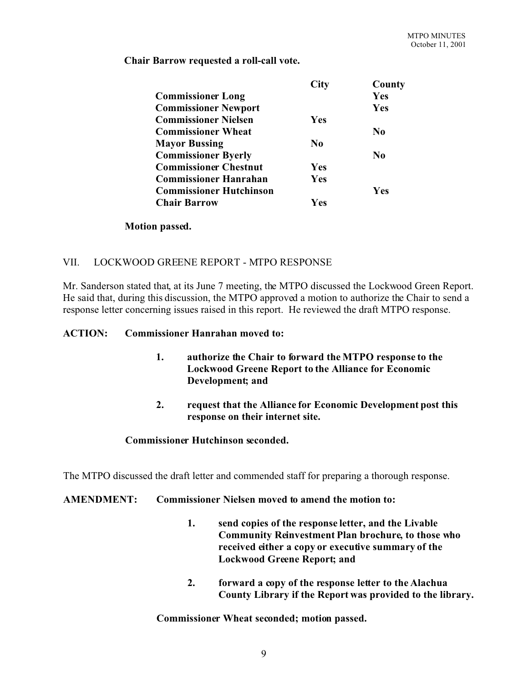**Chair Barrow requested a roll-call vote.**

|                                | <b>City</b> | County     |
|--------------------------------|-------------|------------|
| <b>Commissioner Long</b>       |             | Yes        |
| <b>Commissioner Newport</b>    |             | Yes        |
| <b>Commissioner Nielsen</b>    | <b>Yes</b>  |            |
| <b>Commissioner Wheat</b>      |             | $\bf No$   |
| <b>Mayor Bussing</b>           | $\bf No$    |            |
| <b>Commissioner Byerly</b>     |             | $\bf No$   |
| <b>Commissioner Chestnut</b>   | Yes         |            |
| <b>Commissioner Hanrahan</b>   | Yes         |            |
| <b>Commissioner Hutchinson</b> |             | <b>Yes</b> |
| <b>Chair Barrow</b>            | Yes         |            |

#### **Motion passed.**

### VII. LOCKWOOD GREENE REPORT - MTPO RESPONSE

Mr. Sanderson stated that, at its June 7 meeting, the MTPO discussed the Lockwood Green Report. He said that, during this discussion, the MTPO approved a motion to authorize the Chair to send a response letter concerning issues raised in this report. He reviewed the draft MTPO response.

#### **ACTION: Commissioner Hanrahan moved to:**

- **1. authorize the Chair to forward the MTPO response to the Lockwood Greene Report to the Alliance for Economic Development; and**
- **2. request that the Alliance for Economic Development post this response on their internet site.**

### **Commissioner Hutchinson seconded.**

The MTPO discussed the draft letter and commended staff for preparing a thorough response.

### **AMENDMENT: Commissioner Nielsen moved to amend the motion to:**

- **1. send copies of the response letter, and the Livable Community Reinvestment Plan brochure, to those who received either a copy or executive summary of the Lockwood Greene Report; and**
- **2. forward a copy of the response letter to the Alachua County Library if the Report was provided to the library.**

**Commissioner Wheat seconded; motion passed.**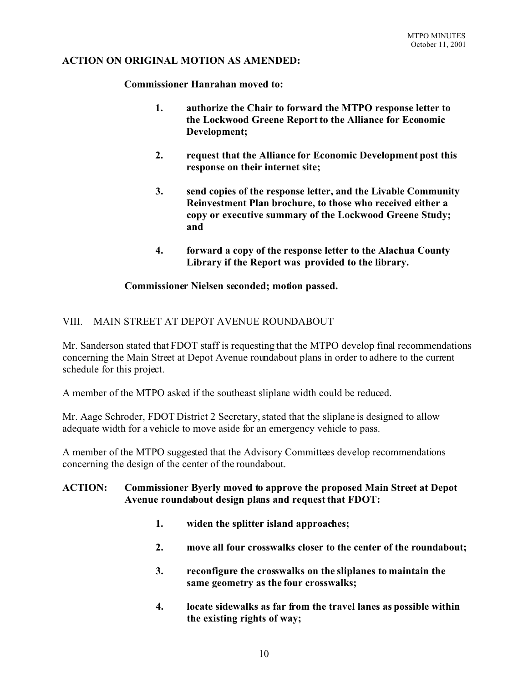#### **ACTION ON ORIGINAL MOTION AS AMENDED:**

**Commissioner Hanrahan moved to:**

- **1. authorize the Chair to forward the MTPO response letter to the Lockwood Greene Report to the Alliance for Economic Development;**
- **2. request that the Alliance for Economic Development post this response on their internet site;**
- **3. send copies of the response letter, and the Livable Community Reinvestment Plan brochure, to those who received either a copy or executive summary of the Lockwood Greene Study; and**
- **4. forward a copy of the response letter to the Alachua County Library if the Report was provided to the library.**

#### **Commissioner Nielsen seconded; motion passed.**

### VIII. MAIN STREET AT DEPOT AVENUE ROUNDABOUT

Mr. Sanderson stated that FDOT staff is requesting that the MTPO develop final recommendations concerning the Main Street at Depot Avenue roundabout plans in order to adhere to the current schedule for this project.

A member of the MTPO asked if the southeast sliplane width could be reduced.

Mr. Aage Schroder, FDOT District 2 Secretary, stated that the sliplane is designed to allow adequate width for a vehicle to move aside for an emergency vehicle to pass.

A member of the MTPO suggested that the Advisory Committees develop recommendations concerning the design of the center of the roundabout.

### **ACTION: Commissioner Byerly moved to approve the proposed Main Street at Depot Avenue roundabout design plans and request that FDOT:**

- **1. widen the splitter island approaches;**
- **2. move all four crosswalks closer to the center of the roundabout;**
- **3. reconfigure the crosswalks on the sliplanes to maintain the same geometry as the four crosswalks;**
- **4. locate sidewalks as far from the travel lanes as possible within the existing rights of way;**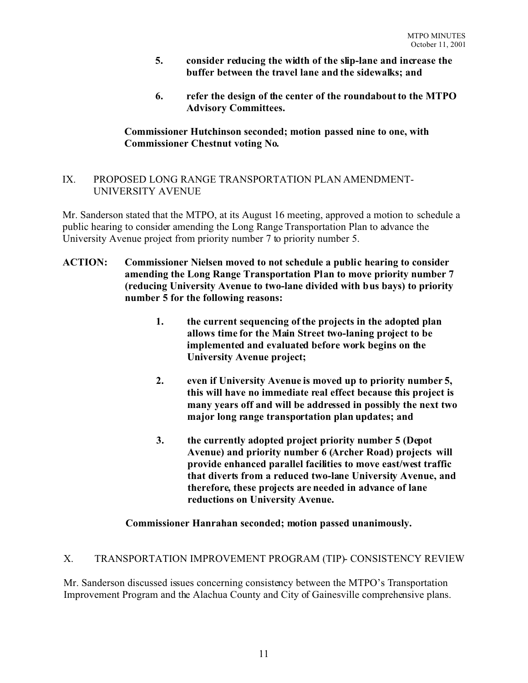- **5. consider reducing the width of the slip-lane and increase the buffer between the travel lane and the sidewalks; and**
- **6. refer the design of the center of the roundabout to the MTPO Advisory Committees.**

## **Commissioner Hutchinson seconded; motion passed nine to one, with Commissioner Chestnut voting No.**

## IX. PROPOSED LONG RANGE TRANSPORTATION PLAN AMENDMENT-UNIVERSITY AVENUE

Mr. Sanderson stated that the MTPO, at its August 16 meeting, approved a motion to schedule a public hearing to consider amending the Long Range Transportation Plan to advance the University Avenue project from priority number 7 to priority number 5.

- **ACTION: Commissioner Nielsen moved to not schedule a public hearing to consider amending the Long Range Transportation Plan to move priority number 7 (reducing University Avenue to two-lane divided with bus bays) to priority number 5 for the following reasons:**
	- **1. the current sequencing of the projects in the adopted plan allows time for the Main Street two-laning project to be implemented and evaluated before work begins on the University Avenue project;**
	- **2. even if University Avenue is moved up to priority number 5, this will have no immediate real effect because this project is many years off and will be addressed in possibly the next two major long range transportation plan updates; and**
	- **3. the currently adopted project priority number 5 (Depot Avenue) and priority number 6 (Archer Road) projects will provide enhanced parallel facilities to move east/west traffic that diverts from a reduced two-lane University Avenue, and therefore, these projects are needed in advance of lane reductions on University Avenue.**

## **Commissioner Hanrahan seconded; motion passed unanimously.**

## X. TRANSPORTATION IMPROVEMENT PROGRAM (TIP)- CONSISTENCY REVIEW

Mr. Sanderson discussed issues concerning consistency between the MTPO's Transportation Improvement Program and the Alachua County and City of Gainesville comprehensive plans.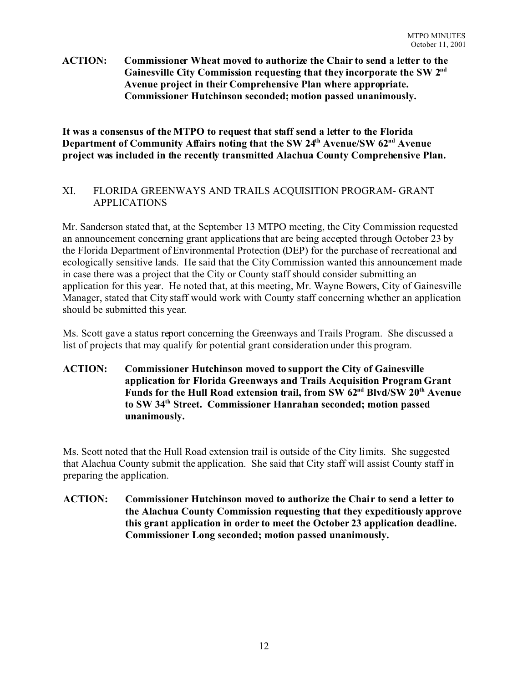### **ACTION: Commissioner Wheat moved to authorize the Chair to send a letter to the Gainesville City Commission requesting that they incorporate the SW 2nd Avenue project in their Comprehensive Plan where appropriate. Commissioner Hutchinson seconded; motion passed unanimously.**

**It was a consensus of the MTPO to request that staff send a letter to the Florida Department of Community Affairs noting that the SW 24th Avenue/SW 62nd Avenue project was included in the recently transmitted Alachua County Comprehensive Plan.**

## XI. FLORIDA GREENWAYS AND TRAILS ACQUISITION PROGRAM- GRANT APPLICATIONS

Mr. Sanderson stated that, at the September 13 MTPO meeting, the City Commission requested an announcement concerning grant applications that are being accepted through October 23 by the Florida Department of Environmental Protection (DEP) for the purchase of recreational and ecologically sensitive lands. He said that the City Commission wanted this announcement made in case there was a project that the City or County staff should consider submitting an application for this year. He noted that, at this meeting, Mr. Wayne Bowers, City of Gainesville Manager, stated that City staff would work with County staff concerning whether an application should be submitted this year.

Ms. Scott gave a status report concerning the Greenways and Trails Program. She discussed a list of projects that may qualify for potential grant consideration under this program.

## **ACTION: Commissioner Hutchinson moved to support the City of Gainesville application for Florida Greenways and Trails Acquisition Program Grant Funds for the Hull Road extension trail, from SW 62nd Blvd/SW 20th Avenue to SW 34th Street. Commissioner Hanrahan seconded; motion passed unanimously.**

Ms. Scott noted that the Hull Road extension trail is outside of the City limits. She suggested that Alachua County submit the application. She said that City staff will assist County staff in preparing the application.

## **ACTION: Commissioner Hutchinson moved to authorize the Chair to send a letter to the Alachua County Commission requesting that they expeditiously approve this grant application in order to meet the October 23 application deadline. Commissioner Long seconded; motion passed unanimously.**